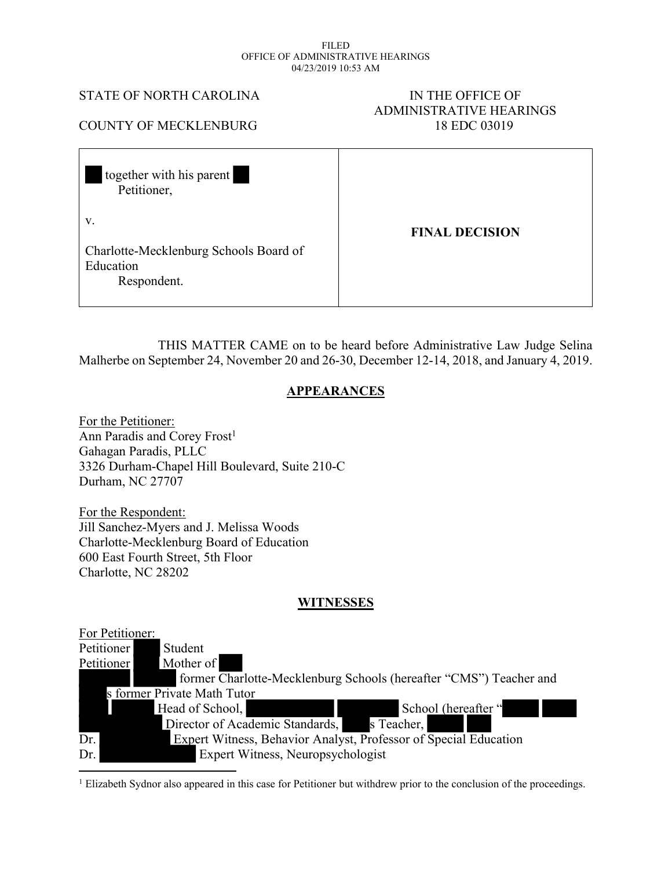#### FILED OFFICE OF ADMINISTRATIVE HEARINGS 04/23/2019 10:53 AM

#### STATE OF NORTH CAROLINA IN THE OFFICE OF

# ADMINISTRATIVE HEARINGS COUNTY OF MECKLENBURG 18 EDC 03019

| together with his parent<br>Petitioner,                                  |                       |
|--------------------------------------------------------------------------|-----------------------|
| V.<br>Charlotte-Mecklenburg Schools Board of<br>Education<br>Respondent. | <b>FINAL DECISION</b> |

THIS MATTER CAME on to be heard before Administrative Law Judge Selina Malherbe on September 24, November 20 and 26-30, December 12-14, 2018, and January 4, 2019.

#### **APPEARANCES**

For the Petitioner: Ann Paradis and Corey Frost<sup>1</sup> Gahagan Paradis, PLLC 3326 Durham-Chapel Hill Boulevard, Suite 210-C Durham, NC 27707

For the Respondent: Jill Sanchez-Myers and J. Melissa Woods Charlotte-Mecklenburg Board of Education 600 East Fourth Street, 5th Floor Charlotte, NC 28202

#### **WITNESSES**

| For Petitioner: |                                                                    |
|-----------------|--------------------------------------------------------------------|
| Petitioner      | Student                                                            |
| Petitioner      | Mother of                                                          |
|                 | former Charlotte-Mecklenburg Schools (hereafter "CMS") Teacher and |
|                 | s former Private Math Tutor                                        |
|                 | School (hereafter "<br>Head of School,                             |
|                 | s Teacher,<br>Director of Academic Standards,                      |
| Dr.             | Expert Witness, Behavior Analyst, Professor of Special Education   |
| Dr.             | Expert Witness, Neuropsychologist                                  |

1 Elizabeth Sydnor also appeared in this case for Petitioner but withdrew prior to the conclusion of the proceedings.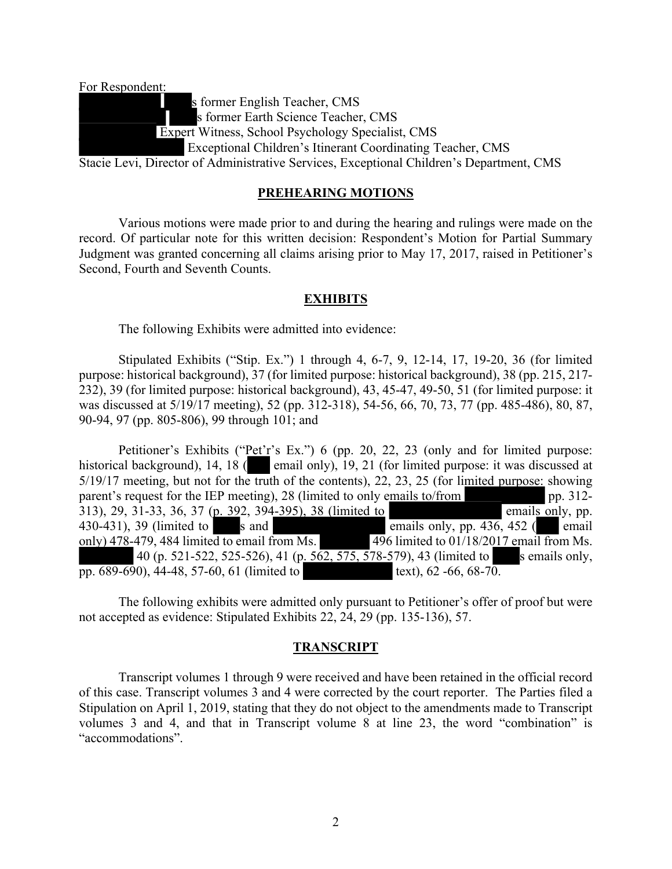For Respondent: s former English Teacher, CMS s former Earth Science Teacher, CMS Expert Witness, School Psychology Specialist, CMS Exceptional Children's Itinerant Coordinating Teacher, CMS Stacie Levi, Director of Administrative Services, Exceptional Children's Department, CMS

#### **PREHEARING MOTIONS**

Various motions were made prior to and during the hearing and rulings were made on the record. Of particular note for this written decision: Respondent's Motion for Partial Summary Judgment was granted concerning all claims arising prior to May 17, 2017, raised in Petitioner's Second, Fourth and Seventh Counts.

#### **EXHIBITS**

The following Exhibits were admitted into evidence:

Stipulated Exhibits ("Stip. Ex.") 1 through 4, 6-7, 9, 12-14, 17, 19-20, 36 (for limited purpose: historical background), 37 (for limited purpose: historical background), 38 (pp. 215, 217- 232), 39 (for limited purpose: historical background), 43, 45-47, 49-50, 51 (for limited purpose: it was discussed at 5/19/17 meeting), 52 (pp. 312-318), 54-56, 66, 70, 73, 77 (pp. 485-486), 80, 87, 90-94, 97 (pp. 805-806), 99 through 101; and

Petitioner's Exhibits ("Pet'r's Ex.") 6 (pp. 20, 22, 23 (only and for limited purpose: historical background), 14, 18 (**edge** email only), 19, 21 (for limited purpose: it was discussed at 5/19/17 meeting, but not for the truth of the contents), 22, 23, 25 (for limited purpose: showing parent's request for the IEP meeting), 28 (limited to only emails to/from pp. 312-313), 29, 31-33, 36, 37 (p. 392, 394-395), 38 (limited to emails only, pp. 430-431), 39 (limited to s and emails only, pp. 436, 452 ( email only) 478-479, 484 limited to email from Ms. 496 limited to 01/18/2017 email from Ms. 40 (p. 521-522, 525-526), 41 (p. 562, 575, 578-579), 43 (limited to s emails only, pp.  $689-690$ ,  $44-48$ ,  $57-60$ ,  $61$  (limited to text),  $62-66$ ,  $68-70$ .

The following exhibits were admitted only pursuant to Petitioner's offer of proof but were not accepted as evidence: Stipulated Exhibits 22, 24, 29 (pp. 135-136), 57.

#### **TRANSCRIPT**

Transcript volumes 1 through 9 were received and have been retained in the official record of this case. Transcript volumes 3 and 4 were corrected by the court reporter. The Parties filed a Stipulation on April 1, 2019, stating that they do not object to the amendments made to Transcript volumes 3 and 4, and that in Transcript volume 8 at line 23, the word "combination" is "accommodations".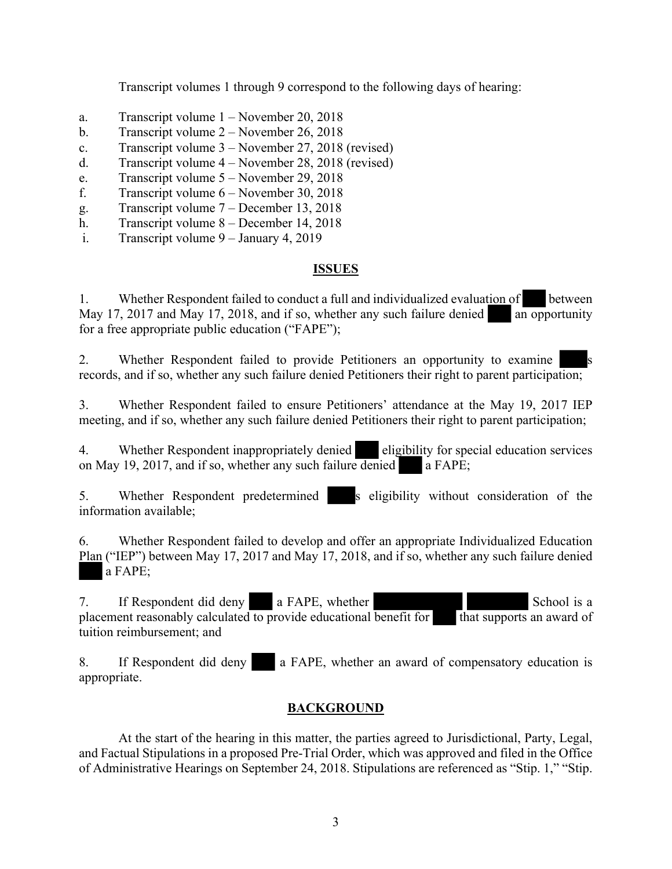Transcript volumes 1 through 9 correspond to the following days of hearing:

- a. Transcript volume 1 November 20, 2018
- b. Transcript volume 2 November 26, 2018
- c. Transcript volume 3 November 27, 2018 (revised)
- d. Transcript volume 4 November 28, 2018 (revised)
- e. Transcript volume 5 November 29, 2018
- f. Transcript volume 6 November 30, 2018
- g. Transcript volume 7 December 13, 2018
- h. Transcript volume 8 December 14, 2018
- i. Transcript volume 9 January 4, 2019

## **ISSUES**

1. Whether Respondent failed to conduct a full and individualized evaluation of between May 17, 2017 and May 17, 2018, and if so, whether any such failure denied an opportunity for a free appropriate public education ("FAPE");

2. Whether Respondent failed to provide Petitioners an opportunity to examine records, and if so, whether any such failure denied Petitioners their right to parent participation;

3. Whether Respondent failed to ensure Petitioners' attendance at the May 19, 2017 IEP meeting, and if so, whether any such failure denied Petitioners their right to parent participation;

4. Whether Respondent inappropriately denied eligibility for special education services on May 19, 2017, and if so, whether any such failure denied a FAPE;

5. Whether Respondent predetermined s eligibility without consideration of the information available;

6. Whether Respondent failed to develop and offer an appropriate Individualized Education Plan ("IEP") between May 17, 2017 and May 17, 2018, and if so, whether any such failure denied a FAPE;

7. If Respondent did deny a FAPE, whether School is a placement reasonably calculated to provide educational benefit for that supports an award of tuition reimbursement; and

8. If Respondent did deny a FAPE, whether an award of compensatory education is appropriate.

## **BACKGROUND**

At the start of the hearing in this matter, the parties agreed to Jurisdictional, Party, Legal, and Factual Stipulations in a proposed Pre-Trial Order, which was approved and filed in the Office of Administrative Hearings on September 24, 2018. Stipulations are referenced as "Stip. 1," "Stip.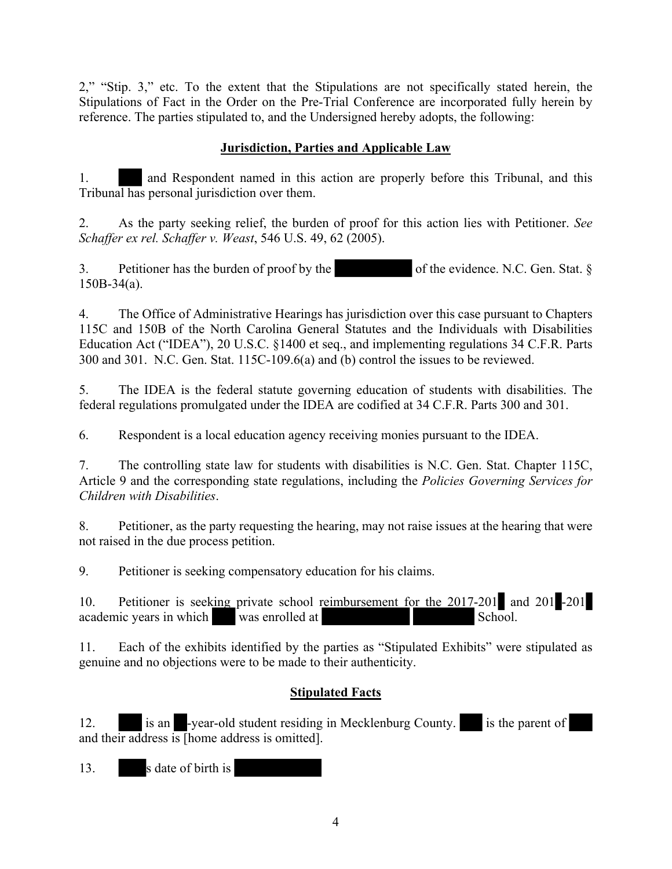2," "Stip. 3," etc. To the extent that the Stipulations are not specifically stated herein, the Stipulations of Fact in the Order on the Pre-Trial Conference are incorporated fully herein by reference. The parties stipulated to, and the Undersigned hereby adopts, the following:

#### **Jurisdiction, Parties and Applicable Law**

1. and Respondent named in this action are properly before this Tribunal, and this Tribunal has personal jurisdiction over them.

2. As the party seeking relief, the burden of proof for this action lies with Petitioner. *See Schaffer ex rel. Schaffer v. Weast*, 546 U.S. 49, 62 (2005).

3. Petitioner has the burden of proof by the of the evidence. N.C. Gen. Stat.  $\S$ 150B-34(a).

4. The Office of Administrative Hearings has jurisdiction over this case pursuant to Chapters 115C and 150B of the North Carolina General Statutes and the Individuals with Disabilities Education Act ("IDEA"), 20 U.S.C. §1400 et seq., and implementing regulations 34 C.F.R. Parts 300 and 301. N.C. Gen. Stat. 115C-109.6(a) and (b) control the issues to be reviewed.

5. The IDEA is the federal statute governing education of students with disabilities. The federal regulations promulgated under the IDEA are codified at 34 C.F.R. Parts 300 and 301.

6. Respondent is a local education agency receiving monies pursuant to the IDEA.

7. The controlling state law for students with disabilities is N.C. Gen. Stat. Chapter 115C, Article 9 and the corresponding state regulations, including the *Policies Governing Services for Children with Disabilities*.

8. Petitioner, as the party requesting the hearing, may not raise issues at the hearing that were not raised in the due process petition.

9. Petitioner is seeking compensatory education for his claims.

10. Petitioner is seeking private school reimbursement for the 2017-201 and 201 -201  $\alpha$  academic years in which was enrolled at  $\alpha$ 

11. Each of the exhibits identified by the parties as "Stipulated Exhibits" were stipulated as genuine and no objections were to be made to their authenticity.

## **Stipulated Facts**

12. is an -year-old student residing in Mecklenburg County. is the parent of and their address is  $[home$  address is omitted].

13. s date of birth is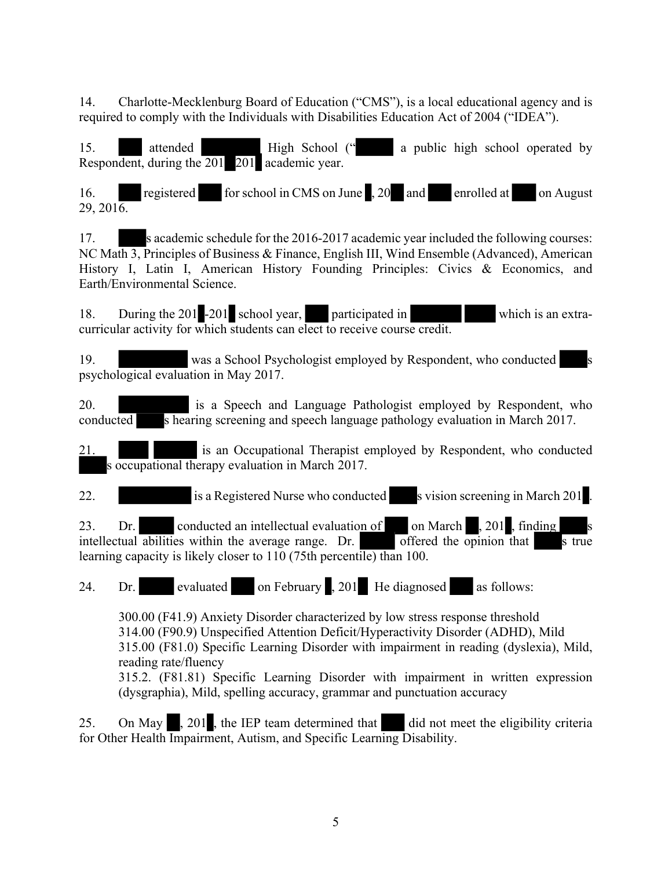14. Charlotte-Mecklenburg Board of Education ("CMS"), is a local educational agency and is required to comply with the Individuals with Disabilities Education Act of 2004 ("IDEA").

15. **attended** High School (" a public high school operated by Respondent, during the 201 201 academic year.

16. registered for school in CMS on June , 20 and enrolled at on August  $29, 201\overline{6}$ .

17. s academic schedule for the 2016-2017 academic year included the following courses: NC Math 3, Principles of Business & Finance, English III, Wind Ensemble (Advanced), American History I, Latin I, American History Founding Principles: Civics & Economics, and Earth/Environmental Science.

18. During the 201 -201 school year, participated in which is an extracurricular activity for which students can elect to receive course credit.

19. was a School Psychologist employed by Respondent, who conducted s psychological evaluation in May 2017.

20. is a Speech and Language Pathologist employed by Respondent, who conducted s hearing screening and speech language pathology evaluation in March 2017.

21. is an Occupational Therapist employed by Respondent, who conducted s occupational therapy evaluation in March 2017.

22. is a Registered Nurse who conducted s vision screening in March 201.

23. Dr. conducted an intellectual evaluation of on March  $\,$ , 201 , finding intellectual abilities within the average range. Dr.  $\overline{\text{offered}}$  the opinion that s true learning capacity is likely closer to 110 (75th percentile) than 100.

24. Dr. evaluated on February , 201 He diagnosed as follows:

300.00 (F41.9) Anxiety Disorder characterized by low stress response threshold 314.00 (F90.9) Unspecified Attention Deficit/Hyperactivity Disorder (ADHD), Mild 315.00 (F81.0) Specific Learning Disorder with impairment in reading (dyslexia), Mild, reading rate/fluency 315.2. (F81.81) Specific Learning Disorder with impairment in written expression (dysgraphia), Mild, spelling accuracy, grammar and punctuation accuracy

25. On May, 201, the IEP team determined that did not meet the eligibility criteria for Other Health Impairment, Autism, and Specific Learning Disability.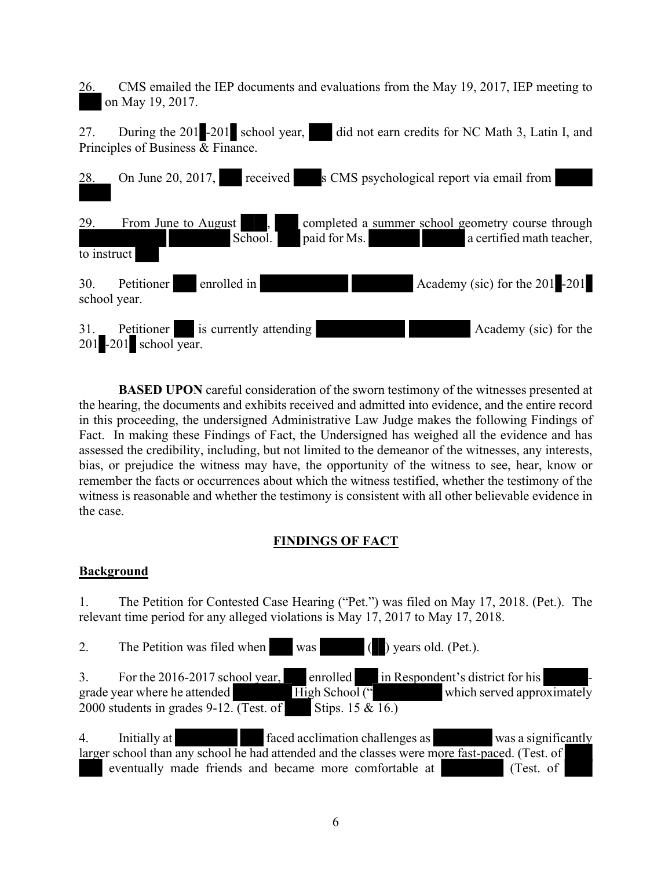26. CMS emailed the IEP documents and evaluations from the May 19, 2017, IEP meeting to on May 19, 2017.

27. During the 201 -201 school year, did not earn credits for NC Math 3, Latin I, and Principles of Business  $\overline{\&}$  Finance.



**BASED UPON** careful consideration of the sworn testimony of the witnesses presented at the hearing, the documents and exhibits received and admitted into evidence, and the entire record in this proceeding, the undersigned Administrative Law Judge makes the following Findings of Fact. In making these Findings of Fact, the Undersigned has weighed all the evidence and has assessed the credibility, including, but not limited to the demeanor of the witnesses, any interests, bias, or prejudice the witness may have, the opportunity of the witness to see, hear, know or remember the facts or occurrences about which the witness testified, whether the testimony of the witness is reasonable and whether the testimony is consistent with all other believable evidence in the case.

## **FINDINGS OF FACT**

#### **Background**

1. The Petition for Contested Case Hearing ("Pet.") was filed on May 17, 2018. (Pet.). The relevant time period for any alleged violations is May 17, 2017 to May 17, 2018.

2. The Petition was filed when was ( ) years old. (Pet.).

 $\overline{3}$ . For the 2016-2017 school year, enrolled in Respondent's district for his grade year where he attended High School (" which served approximately 2000 students in grades 9-12. (Test. of Stips. 15  $\&$  16.)

4. Initially at faced acclimation challenges as was a significantly larger school than any school he had attended and the classes were more fast-paced. (Test. of eventually made friends and became more comfortable at (Test. of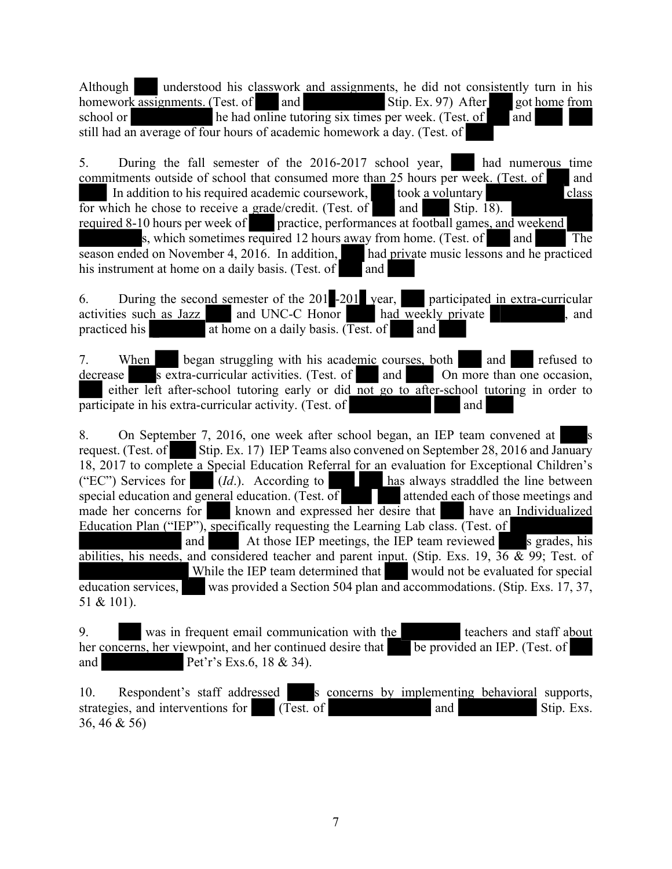Although understood his classwork and assignments, he did not consistently turn in his homework assignments. (Test. of and and  $\frac{1}{1}$  and  $\frac{1}{1}$  and  $\frac{1}{1}$  and  $\frac{1}{1}$  and  $\frac{1}{1}$  and  $\frac{1}{1}$  and  $\frac{1}{1}$  a homework assignments. (Test. of and  $\qquad$  Stip. Ex. 97) After got home from school or he had online tutoring six times per week. (Test. of and still had an average of four hours of academic homework a day. (Test. of

5. During the fall semester of the 2016-2017 school year, had numerous time commitments outside of school that consumed more than 25 hours per week. (Test. of and In addition to his required academic coursework, took a voluntary class for which he chose to receive a grade/credit. (Test. of and Stip. 18). required 8-10 hours per week of practice, performances at football games, and weekend s, which sometimes required 12 hours away from home. (Test. of and The season ended on November 4, 2016. In addition, had private music lessons and he practiced his instrument at home on a daily basis. (Test. of  $\Box$  and

6. During the second semester of the 201 -201 year, participated in extra-curricular activities such as Jazz and UNC-C Honor had weekly private , and practiced his  $\overline{a}$  at home on a daily basis. (Test. of and

7. When began struggling with his academic courses, both and refused to decrease s extra-curricular activities. (Test. of and  $\overline{On}$  more than one occasion, either left after-school tutoring early or did not go to after-school tutoring in order to  $\overline{\text{particle}}$  in his extra-curricular activity. (Test. of  $\overline{\text{and}}$ 

8. On September 7, 2016, one week after school began, an IEP team convened at request. (Test. of Stip. Ex. 17) IEP Teams also convened on September 28, 2016 and January 18, 2017 to complete a Special Education Referral for an evaluation for Exceptional Children's ("EC") Services for  $(Id.)$ . According to has always straddled the line between special education and general education. (Test. of attended each of those meetings and made her concerns for known and expressed her desire that have an Individualized Education Plan ("IEP"), specifically requesting the Learning Lab class. (Test. of and At those IEP meetings, the IEP team reviewed s grades, his abilities, his needs, and considered teacher and parent input. (Stip. Exs. 19,  $36 \& 99$ ; Test. of While the IEP team determined that would not be evaluated for special

education services, was provided a Section 504 plan and accommodations. (Stip. Exs. 17, 37, 51 & 101).

9. was in frequent email communication with the teachers and staff about her concerns, her viewpoint, and her continued desire that be provided an IEP. (Test. of and Pet'r's Exs.6, 18 & 34).

10. Respondent's staff addressed s concerns by implementing behavioral supports, strategies, and interventions for (Test. of and Stip. Exs. 36, 46 & 56)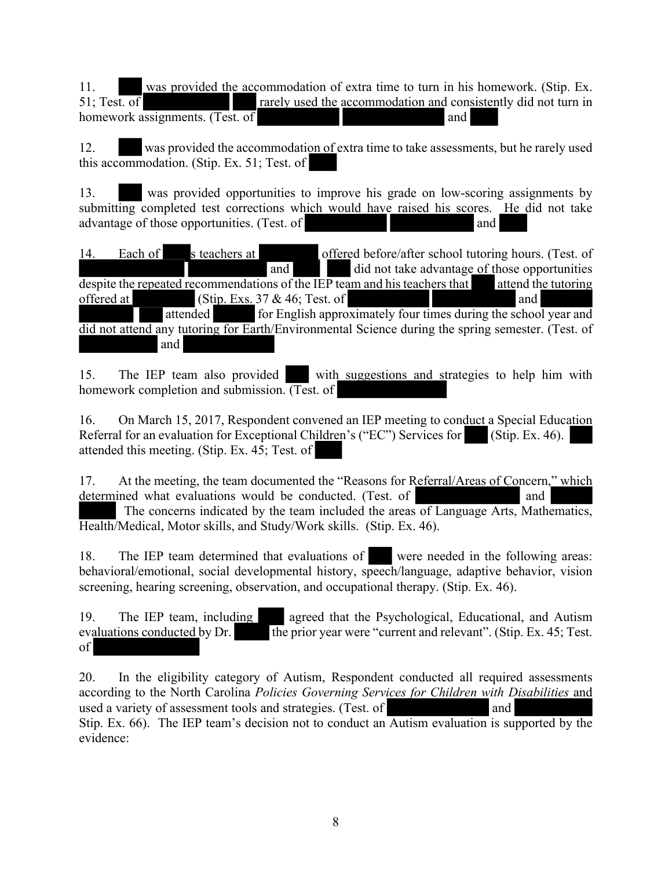11. was provided the accommodation of extra time to turn in his homework. (Stip. Ex. 51: Test. of rarely used the accommodation and consistently did not turn in rarely used the accommodation and consistently did not turn in homework assignments. (Test. of and

12. was provided the accommodation of extra time to take assessments, but he rarely used this accommodation. (Stip. Ex. 51; Test. of

13. was provided opportunities to improve his grade on low-scoring assignments by submitting completed test corrections which would have raised his scores. He did not take advantage of those opportunities. (Test. of and

14. Each of s teachers at offered before/after school tutoring hours. (Test. of and did not take advantage of those opportunities despite the repeated recommendations of the IEP team and his teachers that attend the tutoring offered at  $(Stip. Exs. 37 & 46; Test. of$  and attended for English approximately four times during the school year and did not attend any tutoring for Earth/Environmental Science during the spring semester. (Test. of and

15. The IEP team also provided with suggestions and strategies to help him with homework completion and submission. (Test. of

16. On March 15, 2017, Respondent convened an IEP meeting to conduct a Special Education Referral for an evaluation for Exceptional Children's ("EC") Services for (Stip. Ex. 46). attended this meeting. (Stip. Ex. 45; Test. of

17. At the meeting, the team documented the "Reasons for Referral/Areas of Concern," which determined what evaluations would be conducted. (Test. of and The concerns indicated by the team included the areas of Language Arts, Mathematics, Health/Medical, Motor skills, and Study/Work skills. (Stip. Ex. 46).

18. The IEP team determined that evaluations of were needed in the following areas: behavioral/emotional, social developmental history, speech/language, adaptive behavior, vision screening, hearing screening, observation, and occupational therapy. (Stip. Ex. 46).

19. The IEP team, including agreed that the Psychological, Educational, and Autism evaluations conducted by Dr. the prior year were "current and relevant". (Stip. Ex. 45; Test. of

20. In the eligibility category of Autism, Respondent conducted all required assessments according to the North Carolina *Policies Governing Services for Children with Disabilities* and used a variety of assessment tools and strategies. (Test. of and Stip. Ex. 66). The IEP team's decision not to conduct an Autism evaluation is supported by the evidence: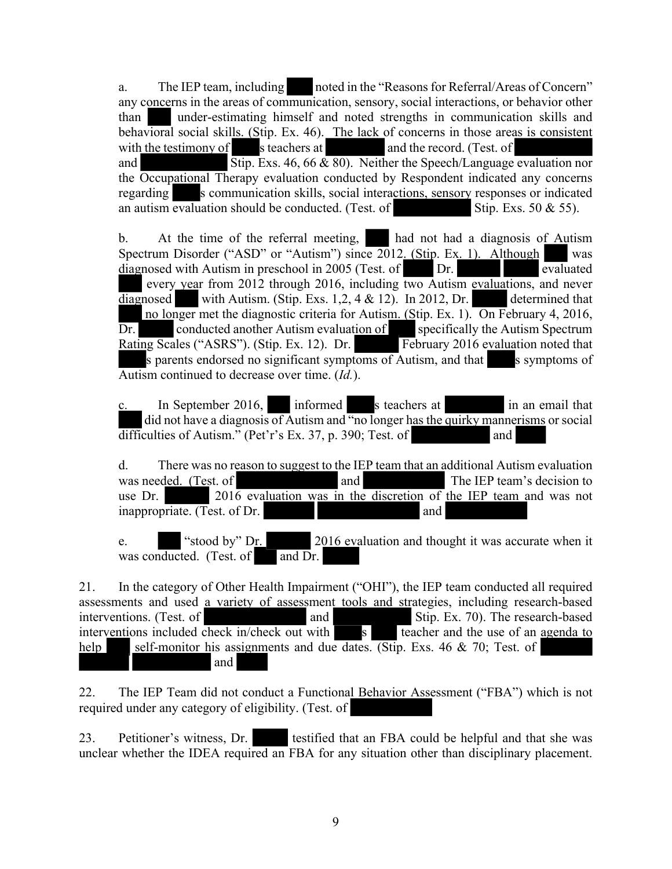a. The IEP team, including noted in the "Reasons for Referral/Areas of Concern" any concerns in the areas of communication, sensory, social interactions, or behavior other than under-estimating himself and noted strengths in communication skills and behavioral social skills. (Stip. Ex. 46). The lack of concerns in those areas is consistent with the testimony of s teachers at and the record. (Test. of and  $\overline{Stip}$ . Exs. 46, 66  $\&$  80). Neither the Speech/Language evaluation nor the Occupational Therapy evaluation conducted by Respondent indicated any concerns regarding s communication skills, social interactions, sensory responses or indicated an autism evaluation should be conducted. (Test. of Stip. Exs. 50  $\&$  55).

b. At the time of the referral meeting, had not had a diagnosis of Autism Spectrum Disorder ("ASD" or "Autism") since 2012. (Stip. Ex. 1). Although was diagnosed with Autism in preschool in 2005 (Test. of Dr. Pr. evaluated every year from 2012 through 2016, including two Autism evaluations, and never diagnosed with Autism. (Stip. Exs. 1,2, 4 & 12). In 2012, Dr. determined that no longer met the diagnostic criteria for Autism. (Stip. Ex. 1). On February 4, 2016, Dr. conducted another Autism evaluation of specifically the Autism Spectrum Rating Scales ("ASRS"). (Stip. Ex. 12). Dr. February 2016 evaluation noted that s parents endorsed no significant symptoms of Autism, and that s symptoms of Autism continued to decrease over time. (*Id.*).

In September 2016, informed s teachers at in an email that did not have a diagnosis of Autism and "no longer has the quirky mannerisms or social  $difficulties of Autism." (Pet'r's Ex. 37, p. 390; Test. of$ 

d. There was no reason to suggest to the IEP team that an additional Autism evaluation was needed. (Test. of and and The IEP team's decision to use Dr.  $201\overline{6}$  evaluation was in the discretion of the IEP team and was not inappropriate. (Test. of Dr. and

e. "stood by" Dr. 2016 evaluation and thought it was accurate when it was conducted. (Test. of  $\Box$  and Dr.

21. In the category of Other Health Impairment ("OHI"), the IEP team conducted all required assessments and used a variety of assessment tools and strategies, including research-based interventions. (Test. of and Stip. Ex. 70). The research-based interventions included check in/check out with s and teacher and the use of an agenda to interventions included check in/check out with  $\overline{s}$  teacher and the use of an agenda to help self-monitor his assignments and due dates. (Stip. Exs. 46  $\&$  70; Test. of and

22. The IEP Team did not conduct a Functional Behavior Assessment ("FBA") which is not required under any category of eligibility. (Test. of

23. Petitioner's witness, Dr. testified that an FBA could be helpful and that she was unclear whether the IDEA required an FBA for any situation other than disciplinary placement.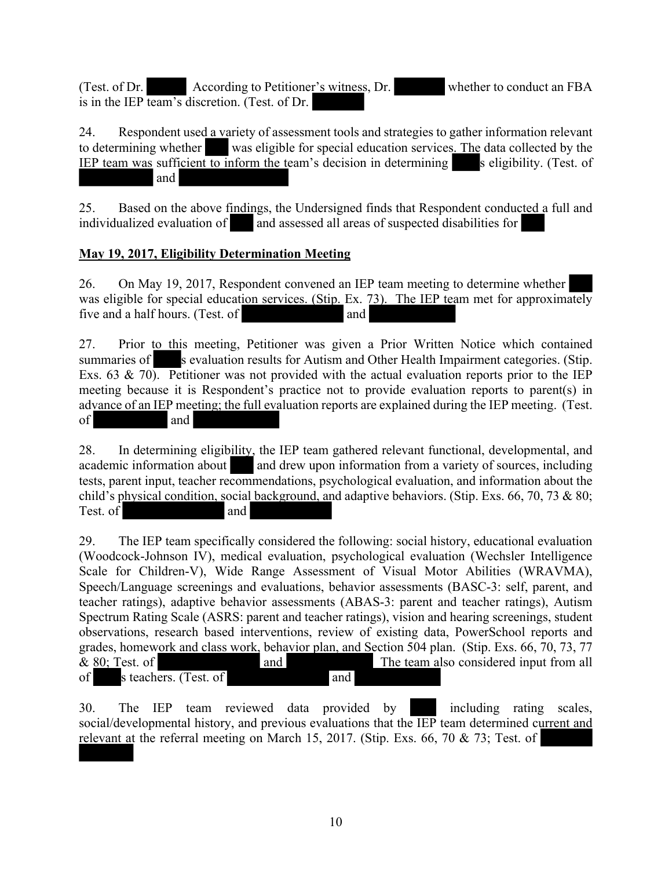(Test. of Dr. According to Petitioner's witness, Dr. whether to conduct an FBA is in the IEP team's discretion. (Test. of Dr.

24. Respondent used a variety of assessment tools and strategies to gather information relevant to determining whether was eligible for special education services. The data collected by the IEP team was sufficient to inform the team's decision in determining  $\blacksquare$  s eligibility. (Test. of and

25. Based on the above findings, the Undersigned finds that Respondent conducted a full and individualized evaluation of and assessed all areas of suspected disabilities for

## **May 19, 2017, Eligibility Determination Meeting**

 $\overline{\phantom{a}}$ 

26. On May 19, 2017, Respondent convened an IEP team meeting to determine whether was eligible for special education services. (Stip. Ex. 73). The IEP team met for approximately five and a half hours. (Test. of and

27. Prior to this meeting, Petitioner was given a Prior Written Notice which contained summaries of s evaluation results for Autism and Other Health Impairment categories. (Stip. Exs. 63  $\&$  70). Petitioner was not provided with the actual evaluation reports prior to the IEP meeting because it is Respondent's practice not to provide evaluation reports to parent(s) in advance of an IEP meeting; the full evaluation reports are explained during the IEP meeting. (Test. of and

28. In determining eligibility, the IEP team gathered relevant functional, developmental, and academic information about and drew upon information from a variety of sources, including tests, parent input, teacher recommendations, psychological evaluation, and information about the child's physical condition, social background, and adaptive behaviors. (Stip. Exs. 66, 70, 73 & 80; Test. of and

29. The IEP team specifically considered the following: social history, educational evaluation (Woodcock-Johnson IV), medical evaluation, psychological evaluation (Wechsler Intelligence Scale for Children-V), Wide Range Assessment of Visual Motor Abilities (WRAVMA), Speech/Language screenings and evaluations, behavior assessments (BASC-3: self, parent, and teacher ratings), adaptive behavior assessments (ABAS-3: parent and teacher ratings), Autism Spectrum Rating Scale (ASRS: parent and teacher ratings), vision and hearing screenings, student observations, research based interventions, review of existing data, PowerSchool reports and grades, homework and class work, behavior plan, and Section 504 plan. (Stip. Exs. 66, 70, 73, 77  $\&$  80; Test. of and and The team also considered input from all of s teachers. (Test. of and

30. The IEP team reviewed data provided by including rating scales, social/developmental history, and previous evaluations that the IEP team determined current and relevant at the referral meeting on March 15, 2017. (Stip. Exs. 66, 70 & 73; Test. of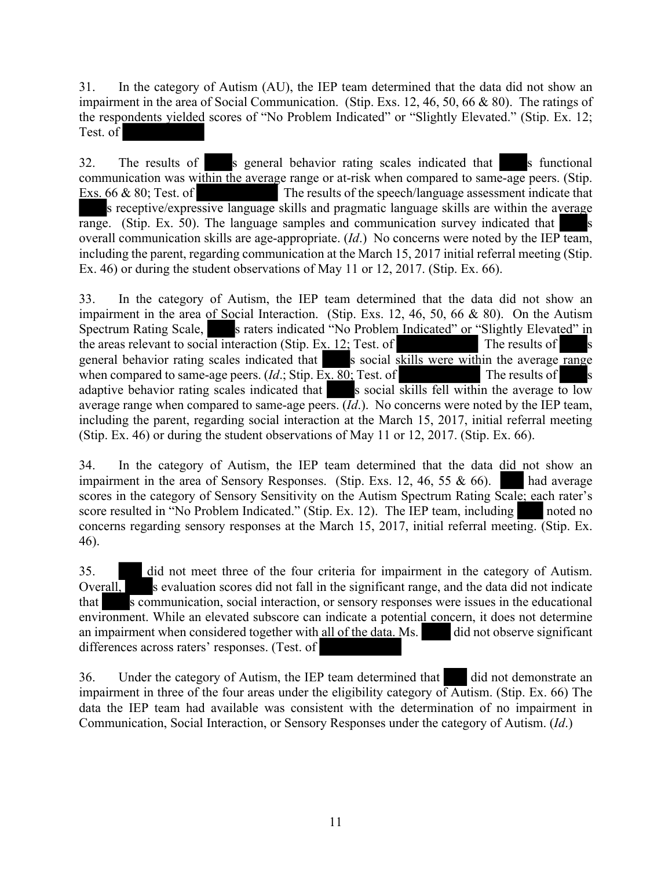31. In the category of Autism (AU), the IEP team determined that the data did not show an impairment in the area of Social Communication. (Stip. Exs. 12, 46, 50, 66 & 80). The ratings of the respondents yielded scores of "No Problem Indicated" or "Slightly Elevated." (Stip. Ex. 12; Test. of

32. The results of s general behavior rating scales indicated that s functional communication was within the average range or at-risk when compared to same-age peers. (Stip. Exs. 66  $\&$  80; Test. of The results of the speech/language assessment indicate that s receptive/expressive language skills and pragmatic language skills are within the average  $\overline{\text{range}}$ . (Stip. Ex. 50). The language samples and communication survey indicated that overall communication skills are age-appropriate. (*Id*.) No concerns were noted by the IEP team, including the parent, regarding communication at the March 15, 2017 initial referral meeting (Stip. Ex. 46) or during the student observations of May 11 or 12, 2017. (Stip. Ex. 66).

33. In the category of Autism, the IEP team determined that the data did not show an impairment in the area of Social Interaction. (Stip. Exs. 12, 46, 50, 66 & 80). On the Autism Spectrum Rating Scale, s raters indicated "No Problem Indicated" or "Slightly Elevated" in the areas relevant to social interaction (Stip. Ex.  $12$ ; Test. of The results of general behavior rating scales indicated that s social skills were within the average range when compared to same-age peers.  $(Id:$  Stip. Ex. 80; Test. of The results of adaptive behavior rating scales indicated that s social skills fell within the average to low average range when compared to same-age peers. (*Id*.). No concerns were noted by the IEP team, including the parent, regarding social interaction at the March 15, 2017, initial referral meeting (Stip. Ex. 46) or during the student observations of May 11 or 12, 2017. (Stip. Ex. 66).

34. In the category of Autism, the IEP team determined that the data did not show an impairment in the area of Sensory Responses. (Stip. Exs. 12, 46, 55  $\&$  66). impairment in the area of Sensory Responses. (Stip. Exs. 12, 46, 55  $\&$  66). scores in the category of Sensory Sensitivity on the Autism Spectrum Rating Scale; each rater's score resulted in "No Problem Indicated." (Stip. Ex. 12). The IEP team, including noted no concerns regarding sensory responses at the March 15, 2017, initial referral meeting. (Stip. Ex. 46).

35. did not meet three of the four criteria for impairment in the category of Autism. Overall, s evaluation scores did not fall in the significant range, and the data did not indicate that s communication, social interaction, or sensory responses were issues in the educational environment. While an elevated subscore can indicate a potential concern, it does not determine an impairment when considered together with all of the data. Ms. an impairment when considered together with all of the data. Ms. differences across raters' responses. (Test. of

36. Under the category of Autism, the IEP team determined that did not demonstrate an impairment in three of the four areas under the eligibility category of Autism. (Stip. Ex. 66) The data the IEP team had available was consistent with the determination of no impairment in Communication, Social Interaction, or Sensory Responses under the category of Autism. (*Id*.)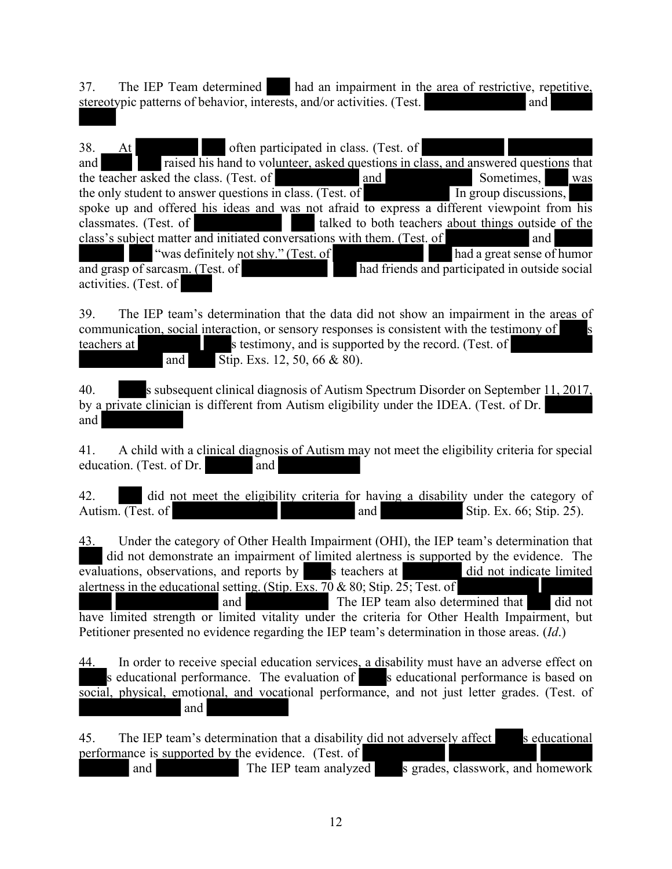37. The IEP Team determined had an impairment in the area of restrictive, repetitive, stereotypic patterns of behavior, interests, and/or activities. (Test. and and

38. At often participated in class. (Test. of and raised his hand to volunteer, asked questions in class, and answered questions that the teacher asked the class. (Test. of and and Sometimes, was the only student to answer questions in class. (Test. of  $\overline{In}$  group discussions, spoke up and offered his ideas and was not afraid to express a different viewpoint from his classmates. (Test. of talked to both teachers about things outside of the class's subject matter and initiated conversations with them. (Test. of and "was definitely not shy." (Test. of had a great sense of humor and grasp of sarcasm. (Test. of had friends and participated in outside social activities. (Test. of

39. The IEP team's determination that the data did not show an impairment in the areas of communication, social interaction, or sensory responses is consistent with the testimony of teachers at s testimony, and is supported by the record. (Test. of and Stip. Exs. 12, 50, 66 & 80).

40. s subsequent clinical diagnosis of Autism Spectrum Disorder on September 11, 2017, by a private clinician is different from Autism eligibility under the IDEA. (Test. of Dr. and

41. A child with a clinical diagnosis of Autism may not meet the eligibility criteria for special education. (Test. of Dr. and

42. did not meet the eligibility criteria for having a disability under the category of Autism. (Test. of  $\qquad \qquad$  and  $\qquad \qquad$  Stip. Ex. 66; Stip. 25).

43. Under the category of Other Health Impairment (OHI), the IEP team's determination that did not demonstrate an impairment of limited alertness is supported by the evidence. The evaluations, observations, and reports by steachers at did not indicate limited alertness in the educational setting. (Stip. Exs. 70  $\&$  80; Stip. 25; Test. of and The IEP team also determined that did not have limited strength or limited vitality under the criteria for Other Health Impairment, but Petitioner presented no evidence regarding the IEP team's determination in those areas. (*Id*.)

44. In order to receive special education services, a disability must have an adverse effect on s educational performance. The evaluation of s educational performance is based on social, physical, emotional, and vocational performance, and not just letter grades. (Test. of and

45. The IEP team's determination that a disability did not adversely affect s educational performance is supported by the evidence. (Test. of and The IEP team analyzed s grades, classwork, and homework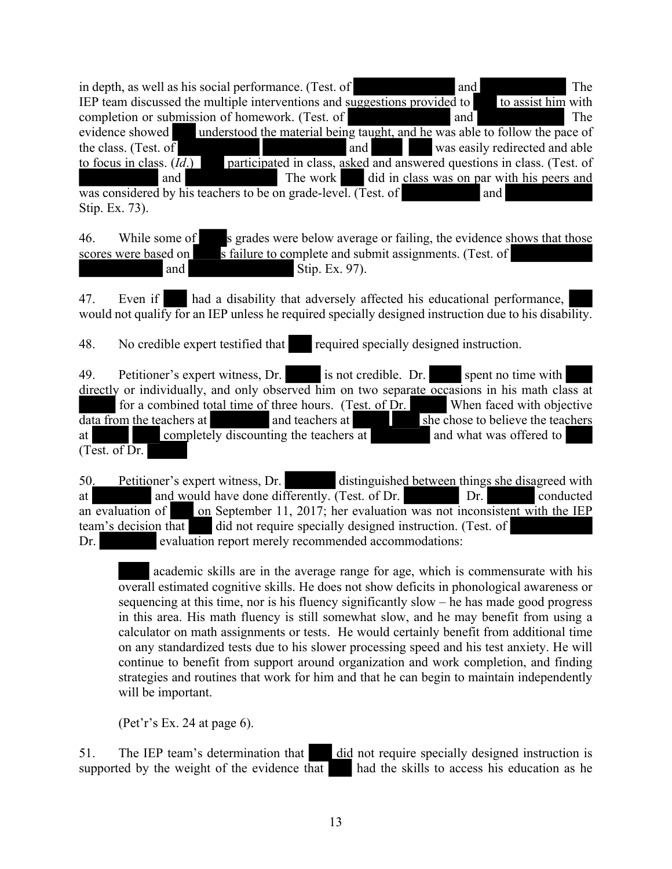in depth, as well as his social performance. (Test. of and The IEP team discussed the multiple interventions and suggestions provided to to assist him with completion or submission of homework. (Test. of and The evidence showed understood the material being taught, and he was able to follow the pace of the class. (Test. of  $\overline{a}$  and was easily redirected and able to focus in class. (*Id*.) participated in class, asked and answered questions in class. (Test. of and The work did in class was on par with his peers and was considered by his teachers to be on grade-level. (Test. of and Stip. Ex. 73).

46. While some of s grades were below average or failing, the evidence shows that those scores were based on  $\overline{\phantom{s}}$  s failure to complete and submit assignments. (Test. of and Stip. Ex. 97).

47. Even if had a disability that adversely affected his educational performance, would not qualify for an IEP unless he required specially designed instruction due to his disability.

48. No credible expert testified that required specially designed instruction.

49. Petitioner's expert witness, Dr. is not credible. Dr. spent no time with directly or individually, and only observed him on two separate occasions in his math class at for a combined total time of three hours. (Test. of Dr. When faced with objective  $\frac{d}{dt}$  and teachers at and teachers at  $\frac{d}{dt}$  she chose to believe the teachers at completely discounting the teachers at and what was offered to (Test. of Dr.

50. Petitioner's expert witness, Dr. distinguished between things she disagreed with at and would have done differently. (Test. of Dr. Dr. Dr. conducted an evaluation of on September 11, 2017; her evaluation was not inconsistent with the IEP team's decision that did not require specially designed instruction. (Test. of Dr. evaluation report merely recommended accommodations:

academic skills are in the average range for age, which is commensurate with his overall estimated cognitive skills. He does not show deficits in phonological awareness or sequencing at this time, nor is his fluency significantly slow – he has made good progress in this area. His math fluency is still somewhat slow, and he may benefit from using a calculator on math assignments or tests. He would certainly benefit from additional time on any standardized tests due to his slower processing speed and his test anxiety. He will continue to benefit from support around organization and work completion, and finding strategies and routines that work for him and that he can begin to maintain independently will be important.

(Pet'r's Ex. 24 at page 6).

51. The IEP team's determination that did not require specially designed instruction is supported by the weight of the evidence that had the skills to access his education as he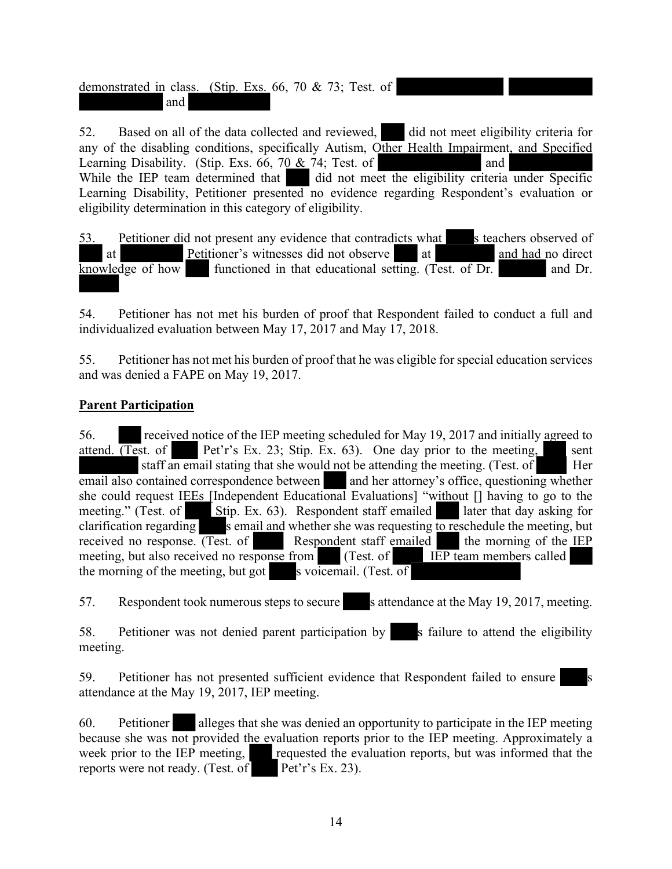demonstrated in class. (Stip. Exs. 66, 70 & 73; Test. of and

52. Based on all of the data collected and reviewed, did not meet eligibility criteria for any of the disabling conditions, specifically Autism, Other Health Impairment, and Specified Learning Disability. (Stip. Exs.  $66$ ,  $70 \& 74$ ; Test. of and While the IEP team determined that  $\ddot{\phantom{a}}$  did not meet the eligibility criteria under Specific Learning Disability, Petitioner presented no evidence regarding Respondent's evaluation or eligibility determination in this category of eligibility.

53. Petitioner did not present any evidence that contradicts what s teachers observed of at Petitioner's witnesses did not observe at and had no direct  $\overline{\text{knowledge of how}}$  functioned in that educational setting. (Test. of Dr. and Dr.

54. Petitioner has not met his burden of proof that Respondent failed to conduct a full and individualized evaluation between May 17, 2017 and May 17, 2018.

55. Petitioner has not met his burden of proof that he was eligible for special education services and was denied a FAPE on May 19, 2017.

#### **Parent Participation**

56. received notice of the IEP meeting scheduled for May 19, 2017 and initially agreed to attend.  $(Test. of$  Pet'r's Ex. 23; Stip. Ex. 63). One day prior to the meeting, sent staff an email stating that she would not be attending the meeting. (Test. of Her email also contained correspondence between and her attorney's office, questioning whether she could request IEEs [Independent Educational Evaluations] "without [] having to go to the meeting." (Test. of Stip. Ex. 63). Respondent staff emailed later that day asking for clarification regarding  $s$  email and whether she was requesting  $\overline{to}$  reschedule the meeting, but received no response. (Test. of Respondent staff emailed the morning of the IEP meeting, but also received no response from (Test. of IEP team members called meeting, but also received no response from the morning of the meeting, but got s voicemail. (Test. of

57. Respondent took numerous steps to secure s attendance at the May 19, 2017, meeting.

58. Petitioner was not denied parent participation by s failure to attend the eligibility meeting.

59. Petitioner has not presented sufficient evidence that Respondent failed to ensure attendance at the May 19, 2017, IEP meeting.

60. Petitioner alleges that she was denied an opportunity to participate in the IEP meeting because she was not provided the evaluation reports prior to the IEP meeting. Approximately a week prior to the IEP meeting, requested the evaluation reports, but was informed that the reports were not ready. (Test. of Pet'r's Ex. 23).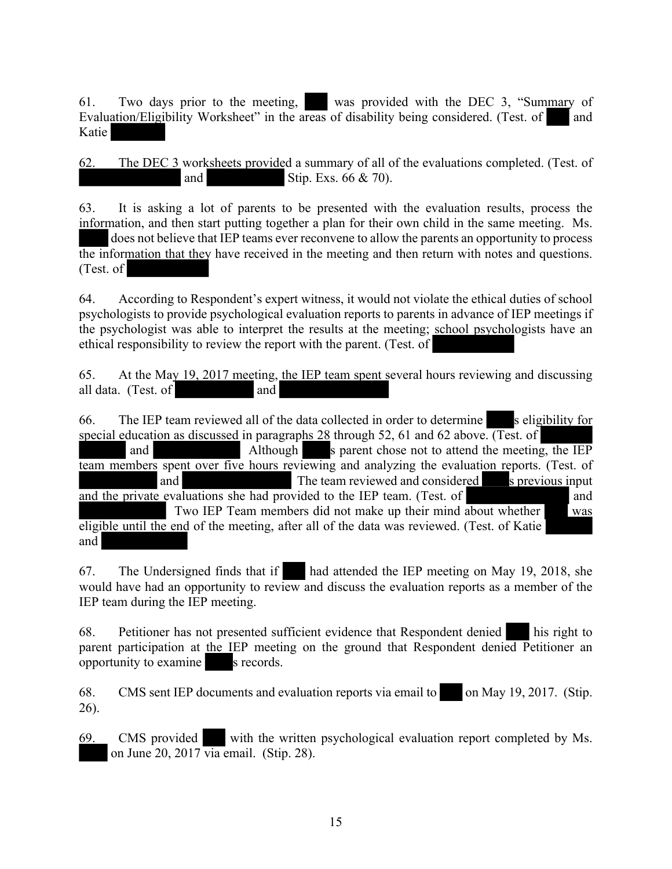61. Two days prior to the meeting, was provided with the DEC 3, "Summary of Evaluation/Eligibility Worksheet" in the areas of disability being considered. (Test. of and Katie

62. The DEC 3 worksheets provided a summary of all of the evaluations completed. (Test. of and Stip. Exs. 66 & 70).

63. It is asking a lot of parents to be presented with the evaluation results, process the information, and then start putting together a plan for their own child in the same meeting. Ms. does not believe that IEP teams ever reconvene to allow the parents an opportunity to process the information that they have received in the meeting and then return with notes and questions. (Test. of

64. According to Respondent's expert witness, it would not violate the ethical duties of school psychologists to provide psychological evaluation reports to parents in advance of IEP meetings if the psychologist was able to interpret the results at the meeting; school psychologists have an ethical responsibility to review the report with the parent. (Test. of

65. At the May 19, 2017 meeting, the IEP team spent several hours reviewing and discussing all data. (Test. of and

66. The IEP team reviewed all of the data collected in order to determine s eligibility for special education as discussed in paragraphs  $28$  through 52, 61 and 62 above. (Test. of and Although s parent chose not to attend the meeting, the IEP team members spent over five hours reviewing and analyzing the evaluation reports. (Test. of and  $\overline{\phantom{a}}$  and  $\overline{\phantom{a}}$ and The team reviewed and considered and the private evaluations she had provided to the IEP team. (Test. of and Two IEP Team members did not make up their mind about whether was eligible until the end of the meeting, after all of the data was reviewed. (Test. of Katie and

67. The Undersigned finds that if had attended the IEP meeting on May 19, 2018, she would have had an opportunity to review and discuss the evaluation reports as a member of the IEP team during the IEP meeting.

68. Petitioner has not presented sufficient evidence that Respondent denied his right to parent participation at the IEP meeting on the ground that Respondent denied Petitioner an opportunity to examine s records.

68. CMS sent IEP documents and evaluation reports via email to on May 19, 2017. (Stip. 26).

69. CMS provided with the written psychological evaluation report completed by Ms. on June 20, 2017 via email. (Stip. 28).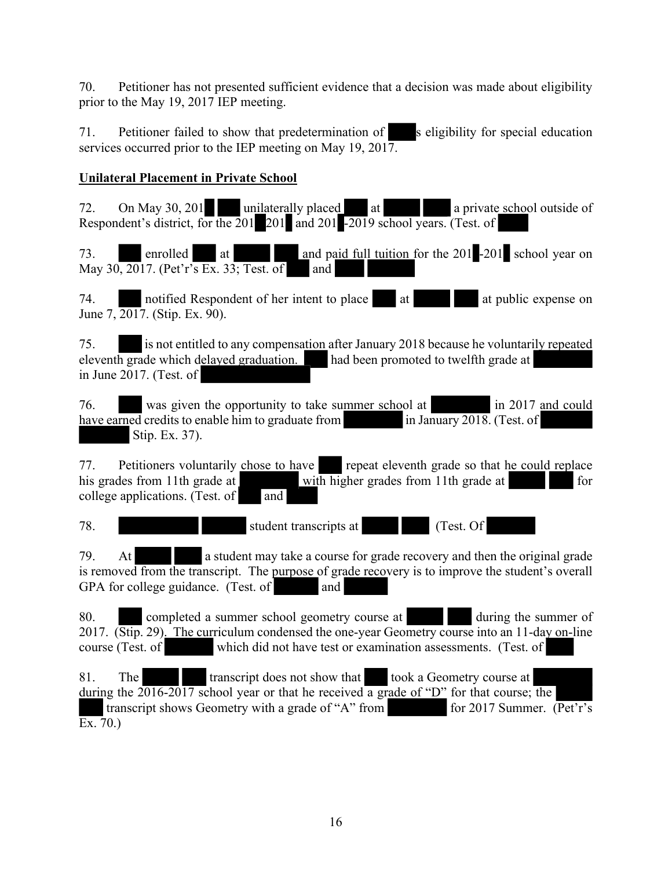70. Petitioner has not presented sufficient evidence that a decision was made about eligibility prior to the May 19, 2017 IEP meeting.

71. Petitioner failed to show that predetermination of s eligibility for special education services occurred prior to the IEP meeting on May 19, 2017.

## **Unilateral Placement in Private School**

72. On May 30, 201 unilaterally placed at a private school outside of Respondent's district, for the 201 201 and 201 -2019 school years. (Test. of

73. enrolled at and paid full tuition for the 201 -201 school year on May 30, 2017. (Pet'r's Ex. 33; Test. of and

74. notified Respondent of her intent to place at at public expense on June 7, 2017. (Stip. Ex. 90).

75. is not entitled to any compensation after January 2018 because he voluntarily repeated eleventh grade which delayed graduation. had been promoted to twelfth grade at in June 2017. (Test. of

76. was given the opportunity to take summer school at in 2017 and could have earned credits to enable him to graduate from in January 2018. (Test. of Stip. Ex. 37).

77. Petitioners voluntarily chose to have repeat eleventh grade so that he could replace his grades from 11th grade at with higher grades from 11th grade at for college applications. (Test. of and

78. student transcripts at (Test. Of

79. At a student may take a course for grade recovery and then the original grade is removed from the transcript. The purpose of grade recovery is to improve the student's overall GPA for college guidance. (Test. of and

80. completed a summer school geometry course at during the summer of 2017. (Stip. 29). The curriculum condensed the one-year Geometry course into an 11-day on-line course (Test. of which did not have test or examination assessments. (Test. of

81. The transcript does not show that took a Geometry course at during the  $2016-2017$  school year or that he received a grade of "D" for that course; the transcript shows Geometry with a grade of "A" from  $\int$  for 2017 Summer. (Pet'r's transcript shows Geometry with a grade of "A" from  $\overline{\text{Ex. 70.}}$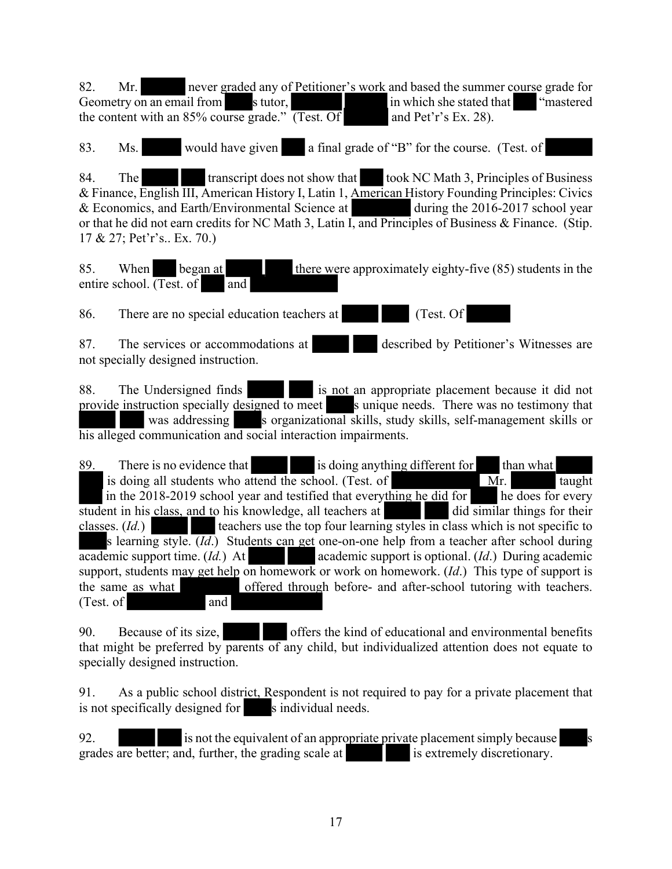82. Mr. never graded any of Petitioner's work and based the summer course grade for Geometry on an email from stutor, stutor, in which she stated that "mastered" the content with an 85% course grade."  $\overline{(Test. Of}$  and Pet'r's Ex. 28).

83. Ms. would have given a final grade of "B" for the course. (Test. of

84. The transcript does not show that took NC Math 3, Principles of Business & Finance, English III, American History I, Latin 1, American History Founding Principles: Civics & Economics, and Earth/Environmental Science at during the 2016-2017 school year or that he did not earn credits for NC Math 3, Latin I, and Principles of Business & Finance. (Stip. 17 & 27; Pet'r's.. Ex. 70.)

85. When began at there were approximately eighty-five (85) students in the entire school.  $(Test. of \t and \t and \t)$ 

86. There are no special education teachers at (Test. Of

87. The services or accommodations at described by Petitioner's Witnesses are not specially designed instruction.

88. The Undersigned finds is not an appropriate placement because it did not provide instruction specially designed to meet s unique needs. There was no testimony that was addressing s organizational skills, study skills, self-management skills or his alleged communication and social interaction impairments.

89. There is no evidence that is doing anything different for than what is doing all students who attend the school. (Test. of  $\overline{M}$ r. taught in the  $2018-2019$  school year and testified that everything he did for he does for every student in his class, and to his knowledge, all teachers at did similar things for their classes. (*Id.*) teachers use the top four learning styles in class which is not specific to s learning style. (*Id*.) Students can get one-on-one help from a teacher after school during academic support time. (*Id.*) At academic support is optional. (*Id.*) During academic support, students may get help on homework or work on homework. (*Id*.) This type of support is the same as what offered through before- and after-school tutoring with teachers. (Test. of and

90. Because of its size, offers the kind of educational and environmental benefits that might be preferred by parents of any child, but individualized attention does not equate to specially designed instruction.

91. As a public school district, Respondent is not required to pay for a private placement that is not specifically designed for s individual needs.

92. is not the equivalent of an appropriate private placement simply because grades are better; and, further, the grading scale at is extremely discretionary.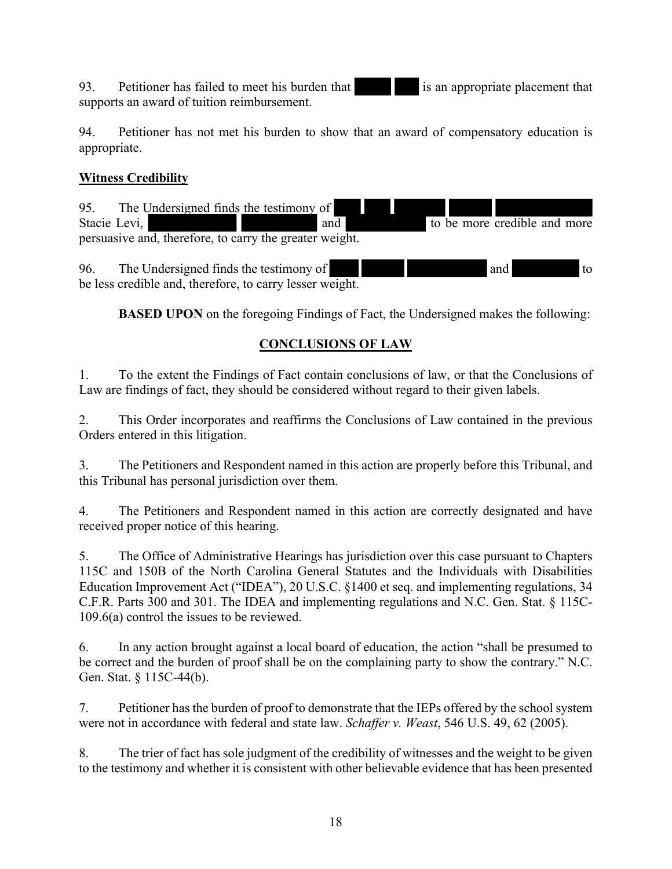93. Petitioner has failed to meet his burden that is an appropriate placement that supports an award of tuition reimbursement.

94. Petitioner has not met his burden to show that an award of compensatory education is appropriate.

#### **Witness Credibility**

95. The Undersigned finds the testimony of Stacie Levi, and to be more credible and more persuasive and, therefore, to carry the greater weight.

96. The Undersigned finds the testimony of and to to the Undersigned finds the testimony of and to to be less credible and, therefore, to carry lesser weight.

**BASED UPON** on the foregoing Findings of Fact, the Undersigned makes the following:

## **CONCLUSIONS OF LAW**

1. To the extent the Findings of Fact contain conclusions of law, or that the Conclusions of Law are findings of fact, they should be considered without regard to their given labels.

2. This Order incorporates and reaffirms the Conclusions of Law contained in the previous Orders entered in this litigation.

3. The Petitioners and Respondent named in this action are properly before this Tribunal, and this Tribunal has personal jurisdiction over them.

4. The Petitioners and Respondent named in this action are correctly designated and have received proper notice of this hearing.

5. The Office of Administrative Hearings has jurisdiction over this case pursuant to Chapters 115C and 150B of the North Carolina General Statutes and the Individuals with Disabilities Education Improvement Act ("IDEA"), 20 U.S.C. §1400 et seq. and implementing regulations, 34 C.F.R. Parts 300 and 301. The IDEA and implementing regulations and N.C. Gen. Stat. § 115C-109.6(a) control the issues to be reviewed.

6. In any action brought against a local board of education, the action "shall be presumed to be correct and the burden of proof shall be on the complaining party to show the contrary." N.C. Gen. Stat. § 115C-44(b).

7. Petitioner has the burden of proof to demonstrate that the IEPs offered by the school system were not in accordance with federal and state law. *Schaffer v. Weast*, 546 U.S. 49, 62 (2005).

8. The trier of fact has sole judgment of the credibility of witnesses and the weight to be given to the testimony and whether it is consistent with other believable evidence that has been presented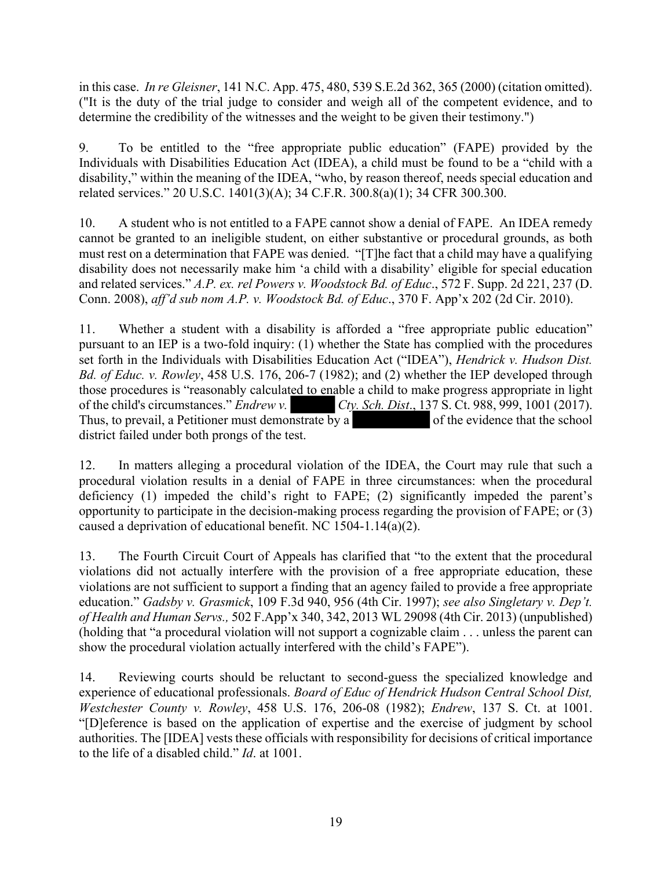in this case. *In re Gleisner*, 141 N.C. App. 475, 480, 539 S.E.2d 362, 365 (2000) (citation omitted). ("It is the duty of the trial judge to consider and weigh all of the competent evidence, and to determine the credibility of the witnesses and the weight to be given their testimony.")

9. To be entitled to the "free appropriate public education" (FAPE) provided by the Individuals with Disabilities Education Act (IDEA), a child must be found to be a "child with a disability," within the meaning of the IDEA, "who, by reason thereof, needs special education and related services." 20 U.S.C. 1401(3)(A); 34 C.F.R. 300.8(a)(1); 34 CFR 300.300.

10. A student who is not entitled to a FAPE cannot show a denial of FAPE. An IDEA remedy cannot be granted to an ineligible student, on either substantive or procedural grounds, as both must rest on a determination that FAPE was denied. "[T]he fact that a child may have a qualifying disability does not necessarily make him 'a child with a disability' eligible for special education and related services." *A.P. ex. rel Powers v. Woodstock Bd. of Educ*., 572 F. Supp. 2d 221, 237 (D. Conn. 2008), *aff'd sub nom A.P. v. Woodstock Bd. of Educ*., 370 F. App'x 202 (2d Cir. 2010).

11. Whether a student with a disability is afforded a "free appropriate public education" pursuant to an IEP is a two-fold inquiry: (1) whether the State has complied with the procedures set forth in the Individuals with Disabilities Education Act ("IDEA"), *Hendrick v. Hudson Dist. Bd. of Educ. v. Rowley*, 458 U.S. 176, 206-7 (1982); and (2) whether the IEP developed through those procedures is "reasonably calculated to enable a child to make progress appropriate in light of the child's circumstances." *Endrew v.*  $CV.$   $Cty. Sch. Dist., 137 S. Ct. 988, 999, 1001 (2017).$ of the child's circumstances." *Endrew v.* Thus, to prevail, a Petitioner must demonstrate by a of the evidence that the school district failed under both prongs of the test.

12. In matters alleging a procedural violation of the IDEA, the Court may rule that such a procedural violation results in a denial of FAPE in three circumstances: when the procedural deficiency (1) impeded the child's right to FAPE; (2) significantly impeded the parent's opportunity to participate in the decision-making process regarding the provision of FAPE; or (3) caused a deprivation of educational benefit. NC 1504-1.14(a)(2).

13. The Fourth Circuit Court of Appeals has clarified that "to the extent that the procedural violations did not actually interfere with the provision of a free appropriate education, these violations are not sufficient to support a finding that an agency failed to provide a free appropriate education." *Gadsby v. Grasmick*, 109 F.3d 940, 956 (4th Cir. 1997); *see also Singletary v. Dep't. of Health and Human Servs.,* 502 F.App'x 340, 342, 2013 WL 29098 (4th Cir. 2013) (unpublished) (holding that "a procedural violation will not support a cognizable claim . . . unless the parent can show the procedural violation actually interfered with the child's FAPE").

14. Reviewing courts should be reluctant to second-guess the specialized knowledge and experience of educational professionals. *Board of Educ of Hendrick Hudson Central School Dist, Westchester County v. Rowley*, 458 U.S. 176, 206-08 (1982); *Endrew*, 137 S. Ct. at 1001. "[D]eference is based on the application of expertise and the exercise of judgment by school authorities. The [IDEA] vests these officials with responsibility for decisions of critical importance to the life of a disabled child." *Id*. at 1001.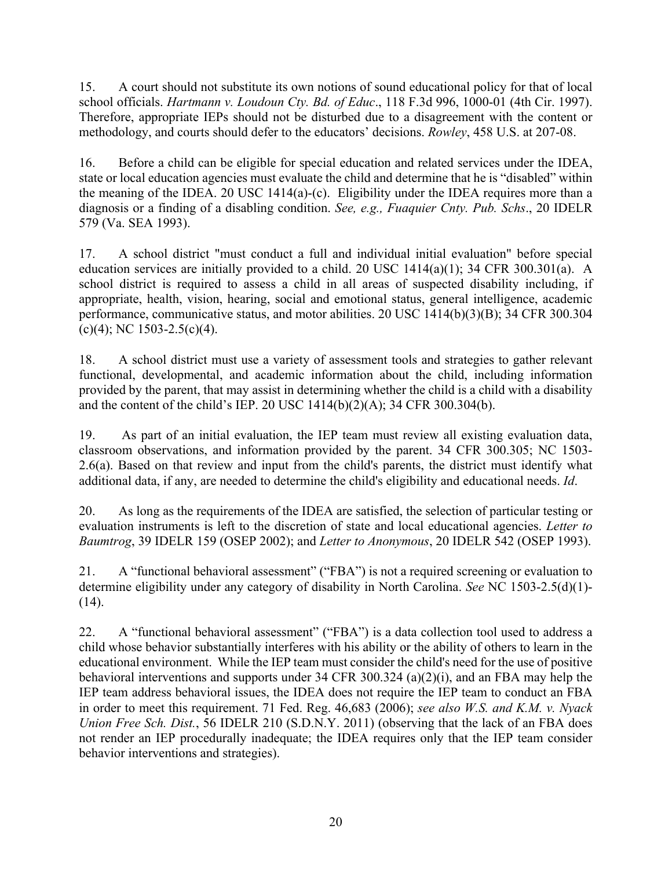15. A court should not substitute its own notions of sound educational policy for that of local school officials. *Hartmann v. Loudoun Cty. Bd. of Educ*., 118 F.3d 996, 1000-01 (4th Cir. 1997). Therefore, appropriate IEPs should not be disturbed due to a disagreement with the content or methodology, and courts should defer to the educators' decisions. *Rowley*, 458 U.S. at 207-08.

16. Before a child can be eligible for special education and related services under the IDEA, state or local education agencies must evaluate the child and determine that he is "disabled" within the meaning of the IDEA. 20 USC 1414(a)-(c). Eligibility under the IDEA requires more than a diagnosis or a finding of a disabling condition. *See, e.g., Fuaquier Cnty. Pub. Schs*., 20 IDELR 579 (Va. SEA 1993).

17. A school district "must conduct a full and individual initial evaluation" before special education services are initially provided to a child. 20 USC 1414(a)(1); 34 CFR 300.301(a). A school district is required to assess a child in all areas of suspected disability including, if appropriate, health, vision, hearing, social and emotional status, general intelligence, academic performance, communicative status, and motor abilities. 20 USC 1414(b)(3)(B); 34 CFR 300.304  $(c)(4)$ ; NC 1503-2.5(c)(4).

18. A school district must use a variety of assessment tools and strategies to gather relevant functional, developmental, and academic information about the child, including information provided by the parent, that may assist in determining whether the child is a child with a disability and the content of the child's IEP. 20 USC 1414(b)(2)(A); 34 CFR 300.304(b).

19. As part of an initial evaluation, the IEP team must review all existing evaluation data, classroom observations, and information provided by the parent. 34 CFR 300.305; NC 1503- 2.6(a). Based on that review and input from the child's parents, the district must identify what additional data, if any, are needed to determine the child's eligibility and educational needs. *Id*.

20. As long as the requirements of the IDEA are satisfied, the selection of particular testing or evaluation instruments is left to the discretion of state and local educational agencies. *Letter to Baumtrog*, 39 IDELR 159 (OSEP 2002); and *Letter to Anonymous*, 20 IDELR 542 (OSEP 1993).

21. A "functional behavioral assessment" ("FBA") is not a required screening or evaluation to determine eligibility under any category of disability in North Carolina. *See* NC 1503-2.5(d)(1)- (14).

22. A "functional behavioral assessment" ("FBA") is a data collection tool used to address a child whose behavior substantially interferes with his ability or the ability of others to learn in the educational environment. While the IEP team must consider the child's need for the use of positive behavioral interventions and supports under 34 CFR 300.324 (a)(2)(i), and an FBA may help the IEP team address behavioral issues, the IDEA does not require the IEP team to conduct an FBA in order to meet this requirement. 71 Fed. Reg. 46,683 (2006); *see also W.S. and K.M. v. Nyack Union Free Sch. Dist.*, 56 IDELR 210 (S.D.N.Y. 2011) (observing that the lack of an FBA does not render an IEP procedurally inadequate; the IDEA requires only that the IEP team consider behavior interventions and strategies).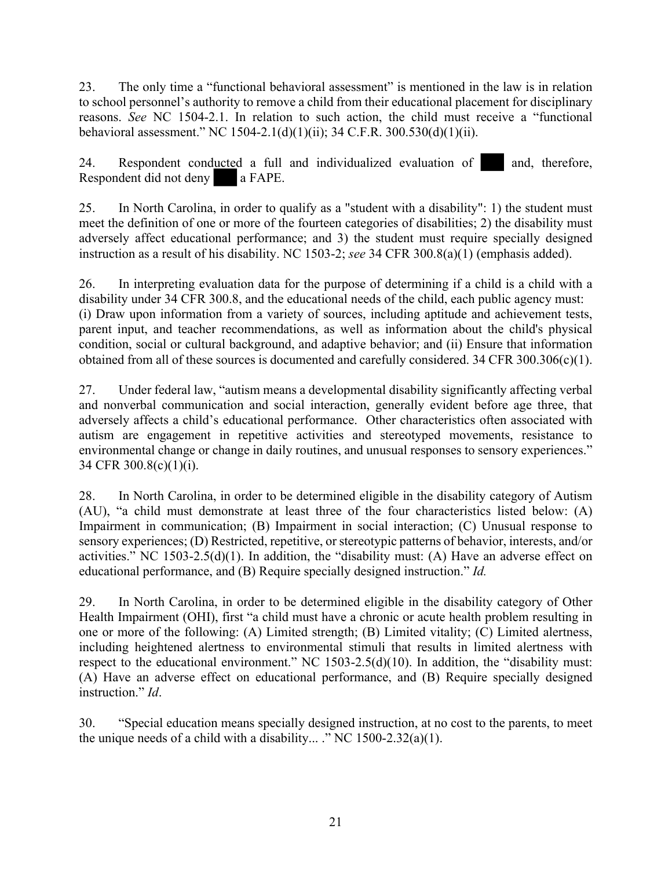23. The only time a "functional behavioral assessment" is mentioned in the law is in relation to school personnel's authority to remove a child from their educational placement for disciplinary reasons. *See* NC 1504-2.1. In relation to such action, the child must receive a "functional behavioral assessment." NC 1504-2.1(d)(1)(ii); 34 C.F.R. 300.530(d)(1)(ii).

24. Respondent conducted a full and individualized evaluation of and, therefore, Respondent did not deny a FAPE.

25. In North Carolina, in order to qualify as a "student with a disability": 1) the student must meet the definition of one or more of the fourteen categories of disabilities; 2) the disability must adversely affect educational performance; and 3) the student must require specially designed instruction as a result of his disability. NC 1503-2; *see* 34 CFR 300.8(a)(1) (emphasis added).

26. In interpreting evaluation data for the purpose of determining if a child is a child with a disability under 34 CFR 300.8, and the educational needs of the child, each public agency must: (i) Draw upon information from a variety of sources, including aptitude and achievement tests, parent input, and teacher recommendations, as well as information about the child's physical condition, social or cultural background, and adaptive behavior; and (ii) Ensure that information obtained from all of these sources is documented and carefully considered. 34 CFR 300.306(c)(1).

27. Under federal law, "autism means a developmental disability significantly affecting verbal and nonverbal communication and social interaction, generally evident before age three, that adversely affects a child's educational performance. Other characteristics often associated with autism are engagement in repetitive activities and stereotyped movements, resistance to environmental change or change in daily routines, and unusual responses to sensory experiences." 34 CFR 300.8(c)(1)(i).

28. In North Carolina, in order to be determined eligible in the disability category of Autism (AU), "a child must demonstrate at least three of the four characteristics listed below: (A) Impairment in communication; (B) Impairment in social interaction; (C) Unusual response to sensory experiences; (D) Restricted, repetitive, or stereotypic patterns of behavior, interests, and/or activities." NC 1503-2.5(d)(1). In addition, the "disability must: (A) Have an adverse effect on educational performance, and (B) Require specially designed instruction." *Id.*

29. In North Carolina, in order to be determined eligible in the disability category of Other Health Impairment (OHI), first "a child must have a chronic or acute health problem resulting in one or more of the following: (A) Limited strength; (B) Limited vitality; (C) Limited alertness, including heightened alertness to environmental stimuli that results in limited alertness with respect to the educational environment." NC 1503-2.5(d)(10). In addition, the "disability must: (A) Have an adverse effect on educational performance, and (B) Require specially designed instruction." *Id* 

30. "Special education means specially designed instruction, at no cost to the parents, to meet the unique needs of a child with a disability... ." NC  $1500-2.32(a)(1)$ .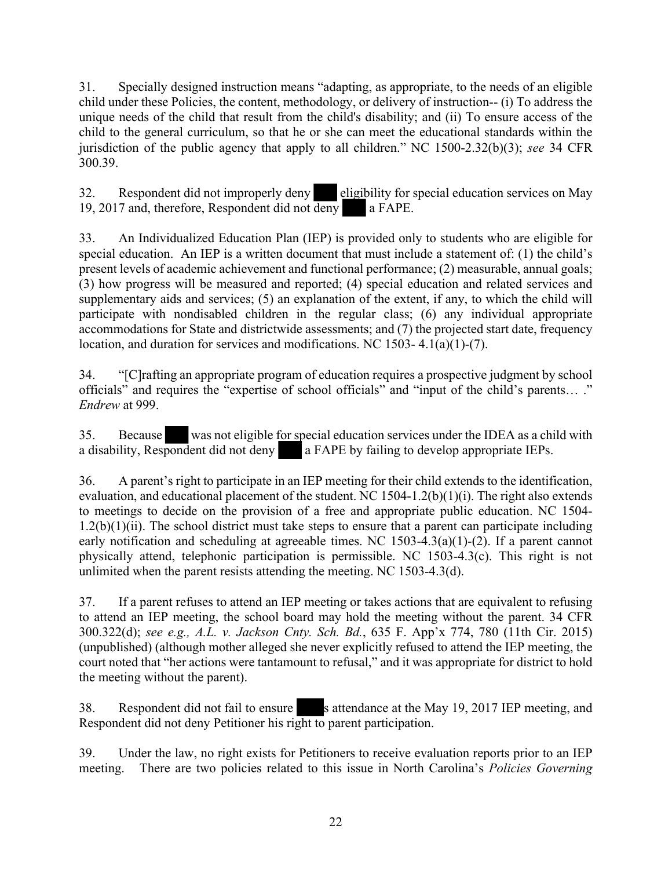31. Specially designed instruction means "adapting, as appropriate, to the needs of an eligible child under these Policies, the content, methodology, or delivery of instruction-- (i) To address the unique needs of the child that result from the child's disability; and (ii) To ensure access of the child to the general curriculum, so that he or she can meet the educational standards within the jurisdiction of the public agency that apply to all children." NC 1500-2.32(b)(3); *see* 34 CFR 300.39.

32. Respondent did not improperly deny eligibility for special education services on May 19, 2017 and, therefore, Respondent did not deny a FAPE.

33. An Individualized Education Plan (IEP) is provided only to students who are eligible for special education. An IEP is a written document that must include a statement of: (1) the child's present levels of academic achievement and functional performance; (2) measurable, annual goals; (3) how progress will be measured and reported; (4) special education and related services and supplementary aids and services; (5) an explanation of the extent, if any, to which the child will participate with nondisabled children in the regular class; (6) any individual appropriate accommodations for State and districtwide assessments; and (7) the projected start date, frequency location, and duration for services and modifications. NC 1503- 4.1(a)(1)-(7).

34. "[C]rafting an appropriate program of education requires a prospective judgment by school officials" and requires the "expertise of school officials" and "input of the child's parents… ." *Endrew* at 999.

35. Because was not eligible for special education services under the IDEA as a child with a disability, Respondent did not deny a FAPE by failing to develop appropriate IEPs.

36. A parent's right to participate in an IEP meeting for their child extends to the identification, evaluation, and educational placement of the student. NC 1504-1.2(b)(1)(i). The right also extends to meetings to decide on the provision of a free and appropriate public education. NC 1504-  $1.2(b)(1)(ii)$ . The school district must take steps to ensure that a parent can participate including early notification and scheduling at agreeable times. NC 1503-4.3(a)(1)-(2). If a parent cannot physically attend, telephonic participation is permissible. NC 1503-4.3(c). This right is not unlimited when the parent resists attending the meeting. NC 1503-4.3(d).

37. If a parent refuses to attend an IEP meeting or takes actions that are equivalent to refusing to attend an IEP meeting, the school board may hold the meeting without the parent. 34 CFR 300.322(d); *see e.g., A.L. v. Jackson Cnty. Sch. Bd.*, 635 F. App'x 774, 780 (11th Cir. 2015) (unpublished) (although mother alleged she never explicitly refused to attend the IEP meeting, the court noted that "her actions were tantamount to refusal," and it was appropriate for district to hold the meeting without the parent).

38. Respondent did not fail to ensure s attendance at the May 19, 2017 IEP meeting, and Respondent did not deny Petitioner his right to parent participation.

39. Under the law, no right exists for Petitioners to receive evaluation reports prior to an IEP meeting. There are two policies related to this issue in North Carolina's *Policies Governing*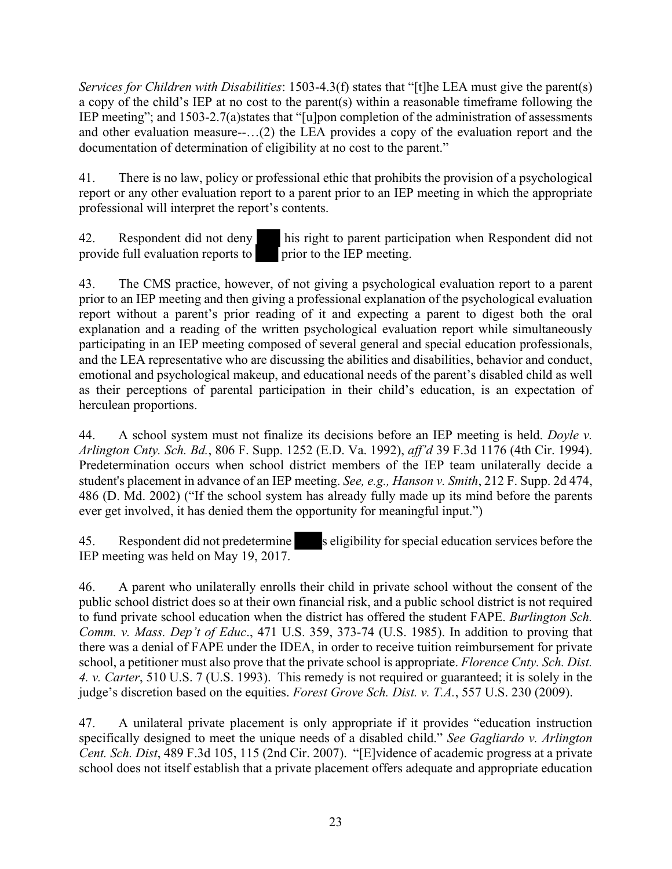*Services for Children with Disabilities*: 1503-4.3(f) states that "[t]he LEA must give the parent(s) a copy of the child's IEP at no cost to the parent(s) within a reasonable timeframe following the IEP meeting"; and 1503-2.7(a)states that "[u]pon completion of the administration of assessments and other evaluation measure--…(2) the LEA provides a copy of the evaluation report and the documentation of determination of eligibility at no cost to the parent."

41. There is no law, policy or professional ethic that prohibits the provision of a psychological report or any other evaluation report to a parent prior to an IEP meeting in which the appropriate professional will interpret the report's contents.

42. Respondent did not deny his right to parent participation when Respondent did not provide full evaluation reports to prior to the IEP meeting.

43. The CMS practice, however, of not giving a psychological evaluation report to a parent prior to an IEP meeting and then giving a professional explanation of the psychological evaluation report without a parent's prior reading of it and expecting a parent to digest both the oral explanation and a reading of the written psychological evaluation report while simultaneously participating in an IEP meeting composed of several general and special education professionals, and the LEA representative who are discussing the abilities and disabilities, behavior and conduct, emotional and psychological makeup, and educational needs of the parent's disabled child as well as their perceptions of parental participation in their child's education, is an expectation of herculean proportions.

44. A school system must not finalize its decisions before an IEP meeting is held. *Doyle v. Arlington Cnty. Sch. Bd.*, 806 F. Supp. 1252 (E.D. Va. 1992), *aff'd* 39 F.3d 1176 (4th Cir. 1994). Predetermination occurs when school district members of the IEP team unilaterally decide a student's placement in advance of an IEP meeting. *See, e.g., Hanson v. Smith*, 212 F. Supp. 2d 474, 486 (D. Md. 2002) ("If the school system has already fully made up its mind before the parents ever get involved, it has denied them the opportunity for meaningful input.")

45. Respondent did not predetermine s eligibility for special education services before the IEP meeting was held on May 19, 2017.

46. A parent who unilaterally enrolls their child in private school without the consent of the public school district does so at their own financial risk, and a public school district is not required to fund private school education when the district has offered the student FAPE. *Burlington Sch. Comm. v. Mass. Dep't of Educ*., 471 U.S. 359, 373-74 (U.S. 1985). In addition to proving that there was a denial of FAPE under the IDEA, in order to receive tuition reimbursement for private school, a petitioner must also prove that the private school is appropriate. *Florence Cnty. Sch. Dist. 4. v. Carter*, 510 U.S. 7 (U.S. 1993). This remedy is not required or guaranteed; it is solely in the judge's discretion based on the equities. *Forest Grove Sch. Dist. v. T.A.*, 557 U.S. 230 (2009).

47. A unilateral private placement is only appropriate if it provides "education instruction specifically designed to meet the unique needs of a disabled child." *See Gagliardo v. Arlington Cent. Sch. Dist*, 489 F.3d 105, 115 (2nd Cir. 2007). "[E]vidence of academic progress at a private school does not itself establish that a private placement offers adequate and appropriate education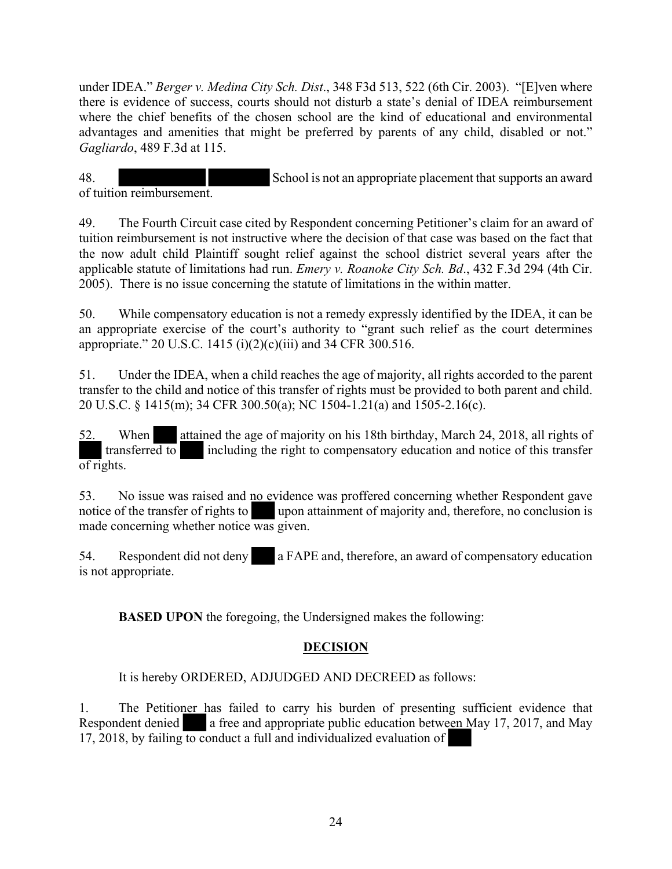under IDEA." *Berger v. Medina City Sch. Dist*., 348 F3d 513, 522 (6th Cir. 2003). "[E]ven where there is evidence of success, courts should not disturb a state's denial of IDEA reimbursement where the chief benefits of the chosen school are the kind of educational and environmental advantages and amenities that might be preferred by parents of any child, disabled or not." *Gagliardo*, 489 F.3d at 115.

48. School is not an appropriate placement that supports an award of tuition reimbursement.

49. The Fourth Circuit case cited by Respondent concerning Petitioner's claim for an award of tuition reimbursement is not instructive where the decision of that case was based on the fact that the now adult child Plaintiff sought relief against the school district several years after the applicable statute of limitations had run. *Emery v. Roanoke City Sch. Bd*., 432 F.3d 294 (4th Cir. 2005). There is no issue concerning the statute of limitations in the within matter.

50. While compensatory education is not a remedy expressly identified by the IDEA, it can be an appropriate exercise of the court's authority to "grant such relief as the court determines appropriate." 20 U.S.C. 1415 (i)(2)(c)(iii) and 34 CFR 300.516.

51. Under the IDEA, when a child reaches the age of majority, all rights accorded to the parent transfer to the child and notice of this transfer of rights must be provided to both parent and child. 20 U.S.C. § 1415(m); 34 CFR 300.50(a); NC 1504-1.21(a) and 1505-2.16(c).

52. When attained the age of majority on his 18th birthday, March 24, 2018, all rights of transferred to including the right to compensatory education and notice of this transfer  $\overline{\text{of right}}$ .

53. No issue was raised and no evidence was proffered concerning whether Respondent gave notice of the transfer of rights to upon attainment of majority and, therefore, no conclusion is made concerning whether notice was given.

54. Respondent did not deny a FAPE and, therefore, an award of compensatory education is not appropriate.

**BASED UPON** the foregoing, the Undersigned makes the following:

## **DECISION**

It is hereby ORDERED, ADJUDGED AND DECREED as follows:

1. The Petitioner has failed to carry his burden of presenting sufficient evidence that Respondent denied **a** free and appropriate public education between May 17, 2017, and May 17, 2018, by failing to conduct a full and individualized evaluation of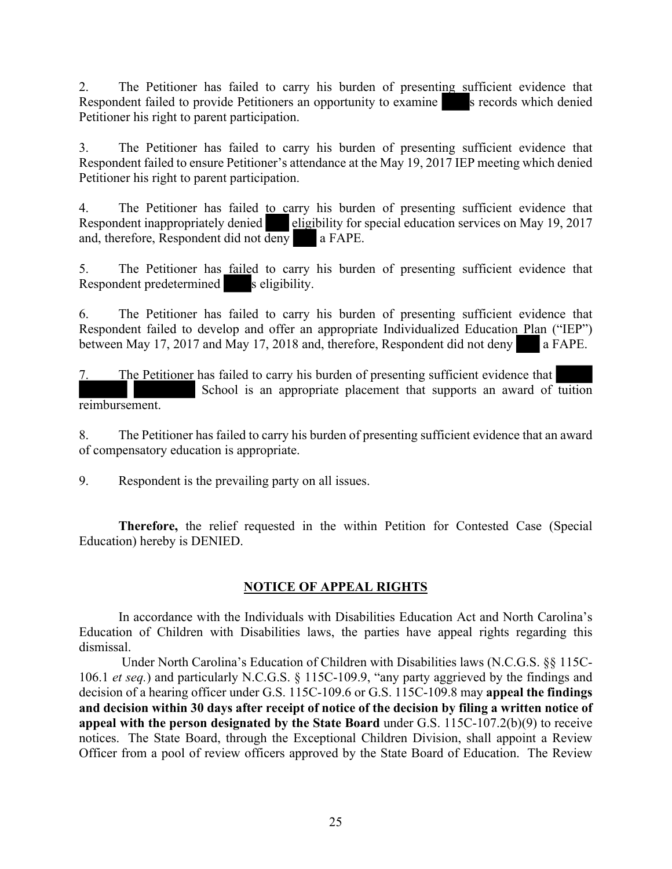2. The Petitioner has failed to carry his burden of presenting sufficient evidence that Respondent failed to provide Petitioners an opportunity to examine s records which denied Petitioner his right to parent participation.

3. The Petitioner has failed to carry his burden of presenting sufficient evidence that Respondent failed to ensure Petitioner's attendance at the May 19, 2017 IEP meeting which denied Petitioner his right to parent participation.

4. The Petitioner has failed to carry his burden of presenting sufficient evidence that Respondent inappropriately denied eligibility for special education services on May 19, 2017 and, therefore, Respondent did not deny a FAPE.

5. The Petitioner has failed to carry his burden of presenting sufficient evidence that Respondent predetermined s eligibility.

6. The Petitioner has failed to carry his burden of presenting sufficient evidence that Respondent failed to develop and offer an appropriate Individualized Education Plan ("IEP") between May 17, 2017 and May 17, 2018 and, therefore, Respondent did not deny a FAPE.

7. The Petitioner has failed to carry his burden of presenting sufficient evidence that School is an appropriate placement that supports an award of tuition reimbursement.

8. The Petitioner has failed to carry his burden of presenting sufficient evidence that an award of compensatory education is appropriate.

9. Respondent is the prevailing party on all issues.

**Therefore,** the relief requested in the within Petition for Contested Case (Special Education) hereby is DENIED.

#### **NOTICE OF APPEAL RIGHTS**

In accordance with the Individuals with Disabilities Education Act and North Carolina's Education of Children with Disabilities laws, the parties have appeal rights regarding this dismissal.

 Under North Carolina's Education of Children with Disabilities laws (N.C.G.S. §§ 115C-106.1 *et seq.*) and particularly N.C.G.S. § 115C-109.9, "any party aggrieved by the findings and decision of a hearing officer under G.S. 115C-109.6 or G.S. 115C-109.8 may **appeal the findings and decision within 30 days after receipt of notice of the decision by filing a written notice of appeal with the person designated by the State Board** under G.S. 115C-107.2(b)(9) to receive notices. The State Board, through the Exceptional Children Division, shall appoint a Review Officer from a pool of review officers approved by the State Board of Education. The Review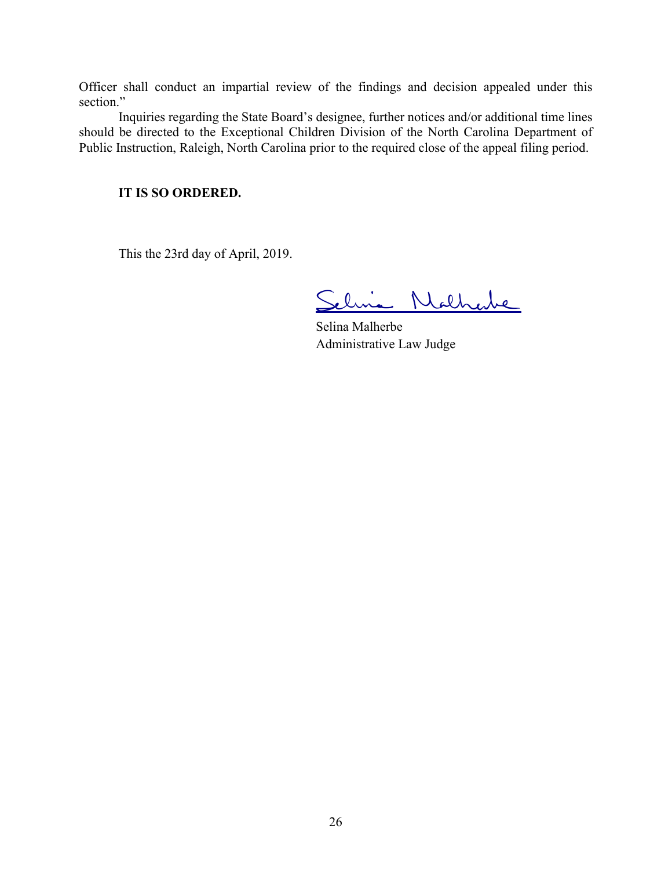Officer shall conduct an impartial review of the findings and decision appealed under this section."

Inquiries regarding the State Board's designee, further notices and/or additional time lines should be directed to the Exceptional Children Division of the North Carolina Department of Public Instruction, Raleigh, North Carolina prior to the required close of the appeal filing period.

#### **IT IS SO ORDERED.**

This the 23rd day of April, 2019.

ia Nathabe

Selina Malherbe Administrative Law Judge